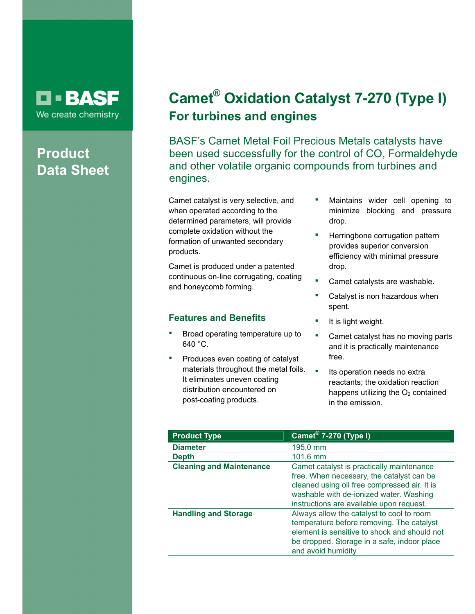## O BASF We create chemistry

# **Product Data Sheet**

# **Camet® Oxidation Catalyst 7-270 (Type I) For turbines and engines**

BASF's Camet Metal Foil Precious Metals catalysts have been used successfully for the control of CO, Formaldehyde and other volatile organic compounds from turbines and engines.

Camet catalyst is very selective, and when operated according to the determined parameters, will provide complete oxidation without the formation of unwanted secondary products.

Camet is produced under a patented continuous on-line corrugating, coating and honeycomb forming.

### **Features and Benefits**

- Broad operating temperature up to 640 °C.
- Produces even coating of catalyst materials throughout the metal foils. It eliminates uneven coating distribution encountered on post-coating products.
- Maintains wider cell opening to minimize blocking and pressure drop.
- **Herringbone corrugation pattern** provides superior conversion efficiency with minimal pressure drop.
- Camet catalysts are washable.
- Catalyst is non hazardous when spent.
- It is light weight.
- **EXEC** Camet catalyst has no moving parts and it is practically maintenance free.
- **Its operation needs no extral** reactants; the oxidation reaction happens utilizing the  $O<sub>2</sub>$  contained in the emission.

| <b>Product Type</b>             | <b>Camet<sup>®</sup> 7-270 (Type I)</b>                                                                                                                                                                                       |
|---------------------------------|-------------------------------------------------------------------------------------------------------------------------------------------------------------------------------------------------------------------------------|
| <b>Diameter</b>                 | 195,0 mm                                                                                                                                                                                                                      |
| <b>Depth</b>                    | $101,6$ mm                                                                                                                                                                                                                    |
| <b>Cleaning and Maintenance</b> | Camet catalyst is practically maintenance<br>free. When necessary, the catalyst can be<br>cleaned using oil free compressed air. It is<br>washable with de-ionized water. Washing<br>instructions are available upon request. |
| <b>Handling and Storage</b>     | Always allow the catalyst to cool to room<br>temperature before removing. The catalyst<br>element is sensitive to shock and should not<br>be dropped. Storage in a safe, indoor place<br>and avoid humidity.                  |